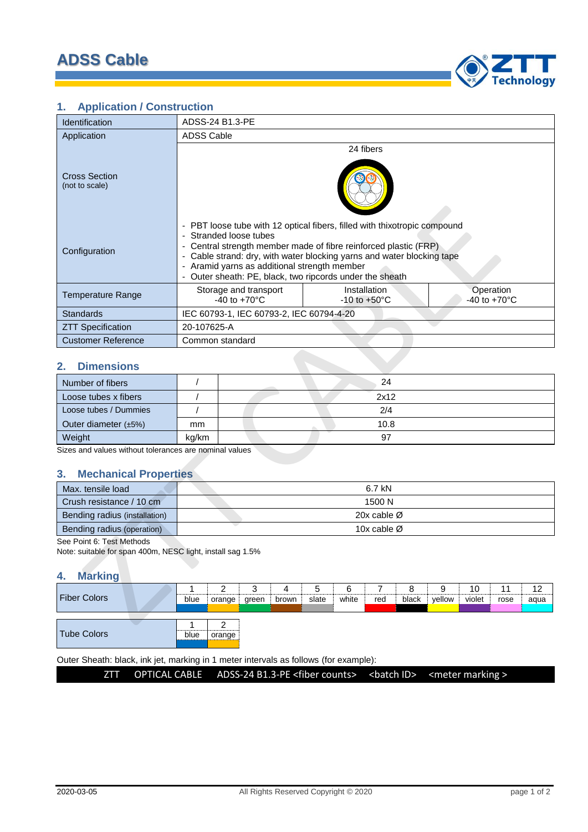

# **1. Application / Construction**

| <b>Identification</b>                                                                                           | ADSS-24 B1.3-PE         |                                                                                                                                                                                                                                                                                                                                                               |            |                                          |            |            |                         |            |             |              |            |            |
|-----------------------------------------------------------------------------------------------------------------|-------------------------|---------------------------------------------------------------------------------------------------------------------------------------------------------------------------------------------------------------------------------------------------------------------------------------------------------------------------------------------------------------|------------|------------------------------------------|------------|------------|-------------------------|------------|-------------|--------------|------------|------------|
| Application                                                                                                     |                         | <b>ADSS Cable</b>                                                                                                                                                                                                                                                                                                                                             |            |                                          |            |            |                         |            |             |              |            |            |
| <b>Cross Section</b><br>(not to scale)                                                                          | 24 fibers               |                                                                                                                                                                                                                                                                                                                                                               |            |                                          |            |            |                         |            |             |              |            |            |
| Configuration                                                                                                   |                         | - PBT loose tube with 12 optical fibers, filled with thixotropic compound<br>- Stranded loose tubes<br>- Central strength member made of fibre reinforced plastic (FRP)<br>- Cable strand: dry, with water blocking yarns and water blocking tape<br>- Aramid yarns as additional strength member<br>- Outer sheath: PE, black, two ripcords under the sheath |            |                                          |            |            |                         |            |             |              |            |            |
| <b>Temperature Range</b>                                                                                        |                         | Operation<br>Storage and transport<br>Installation<br>$-40$ to $+70^{\circ}$ C<br>$-10$ to $+50^{\circ}$ C<br>-40 to +70 $^{\circ}$ C                                                                                                                                                                                                                         |            |                                          |            |            |                         |            |             |              |            |            |
| <b>Standards</b>                                                                                                |                         |                                                                                                                                                                                                                                                                                                                                                               |            | IEC 60793-1, IEC 60793-2, IEC 60794-4-20 |            |            |                         |            |             |              |            |            |
| <b>ZTT Specification</b>                                                                                        |                         | 20-107625-A                                                                                                                                                                                                                                                                                                                                                   |            |                                          |            |            |                         |            |             |              |            |            |
| <b>Customer Reference</b>                                                                                       |                         | Common standard                                                                                                                                                                                                                                                                                                                                               |            |                                          |            |            |                         |            |             |              |            |            |
| <b>Dimensions</b><br>2.                                                                                         |                         |                                                                                                                                                                                                                                                                                                                                                               |            |                                          |            |            |                         |            |             |              |            |            |
| Number of fibers                                                                                                | $\sqrt{ }$              |                                                                                                                                                                                                                                                                                                                                                               |            |                                          |            |            | 24                      |            |             |              |            |            |
| Loose tubes x fibers                                                                                            | $\sqrt{2}$              |                                                                                                                                                                                                                                                                                                                                                               |            |                                          |            |            | 2x12                    |            |             |              |            |            |
| Loose tubes / Dummies                                                                                           | $\prime$                |                                                                                                                                                                                                                                                                                                                                                               |            |                                          |            |            | 2/4                     |            |             |              |            |            |
| Outer diameter (±5%)                                                                                            | mm                      |                                                                                                                                                                                                                                                                                                                                                               |            |                                          |            |            | 10.8                    |            |             |              |            |            |
| Weight                                                                                                          | 97<br>kg/km             |                                                                                                                                                                                                                                                                                                                                                               |            |                                          |            |            |                         |            |             |              |            |            |
| Sizes and values without tolerances are nominal values<br><b>Mechanical Properties</b><br>3.                    |                         |                                                                                                                                                                                                                                                                                                                                                               |            |                                          |            |            |                         |            |             |              |            |            |
| Max. tensile load                                                                                               |                         |                                                                                                                                                                                                                                                                                                                                                               |            |                                          |            |            | 6.7 kN                  |            |             |              |            |            |
| Crush resistance / 10 cm                                                                                        |                         |                                                                                                                                                                                                                                                                                                                                                               |            |                                          |            |            | 1500 N                  |            |             |              |            |            |
| Bending radius (installation)                                                                                   | 20x cable $\varnothing$ |                                                                                                                                                                                                                                                                                                                                                               |            |                                          |            |            |                         |            |             |              |            |            |
| Bending radius (operation)                                                                                      |                         |                                                                                                                                                                                                                                                                                                                                                               |            |                                          |            |            | 10x cable $\varnothing$ |            |             |              |            |            |
| See Point 6: Test Methods<br>Note: suitable for span 400m, NESC light, install sag 1.5%<br><b>Marking</b><br>4. |                         |                                                                                                                                                                                                                                                                                                                                                               |            |                                          |            |            |                         |            |             |              |            |            |
| <b>Fiber Colors</b>                                                                                             | 1<br>blue               | $\overline{2}$<br>orange                                                                                                                                                                                                                                                                                                                                      | 3<br>green | 4<br>brown                               | 5<br>slate | 6<br>white | $\overline{7}$<br>red   | 8<br>black | 9<br>yellow | 10<br>violet | 11<br>rose | 12<br>aqua |
|                                                                                                                 | 1                       | 2                                                                                                                                                                                                                                                                                                                                                             |            |                                          |            |            |                         |            |             |              |            |            |

### **2. Dimensions**

| Number of fibers           |       | 24   |
|----------------------------|-------|------|
| Loose tubes x fibers       |       | 2x12 |
| Loose tubes / Dummies      |       | 2/4  |
| Outer diameter $(\pm 5\%)$ | mm    | 10.8 |
| Weight                     | kg/km |      |

#### **3. Mechanical Properties**

| Max. tensile load             | 6.7 kN                  |
|-------------------------------|-------------------------|
| Crush resistance / 10 cm      | 1500 N                  |
| Bending radius (installation) | 20x cable $\varnothing$ |
| Bending radius (operation)    | 10x cable $\varnothing$ |

### **4. Marking**

|                     |      | ◠      | J     | 4     |       | 6     |     |       | a<br>ັ | 10     | 11   | 12   |
|---------------------|------|--------|-------|-------|-------|-------|-----|-------|--------|--------|------|------|
| <b>Fiber Colors</b> | blue | orange | green | brown | slate | white | red | black | vellow | violet | rose | aqua |
|                     |      |        |       |       |       |       |     |       |        |        |      |      |
|                     |      |        |       |       |       |       |     |       |        |        |      |      |
|                     |      |        |       |       |       |       |     |       |        |        |      |      |
| <b>Tube Colors</b>  | blue | orange |       |       |       |       |     |       |        |        |      |      |
|                     |      |        |       |       |       |       |     |       |        |        |      |      |

Outer Sheath: black, ink jet, marking in 1 meter intervals as follows (for example):

ZTT OPTICAL CABLE ADSS-24 B1.3-PE <fiber counts> <br/>batch ID> <meter marking >